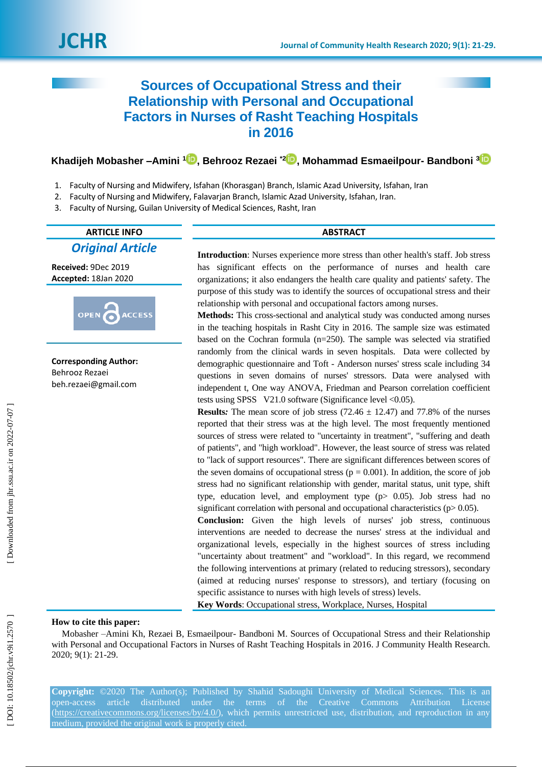# **Sources of Occupational Stress and their Relationship with Personal and Occupational Factors in Nurses of Rasht Teaching Hospitals in 2016**

**Khadijeh Mobasher –Amini 1 [,](https://orcid.org/0000-0001-9093-3944) Behrooz Rezaei \* 2 [,](https://orcid.org/0000-0002-4236-2486) Mohammad Esmaeilpour - Bandboni [3](https://orcid.org/0000-0001-5563-8958)**

- 1 . Faculty of Nursing and Midwifery, Isfahan (Khorasgan) Branch, Islamic Azad University, Isfahan, Iran
- $\mathcal{L}$ . Faculty of Nursing and Midwifery, Falavarjan Branch, Islamic Azad University, Isfahan, Iran.
- 3. . Faculty of Nursing, Guilan University of Medical Sciences, Rasht, Iran

## **ARTICLE INFO ABSTRACT**

*Original Article*

**Received:**  9Dec 201 9 **Accepted:** 18Jan 2020



**Corresponding Author:** Behrooz Rezaei beh.rezaei@gmail.com

**Introduction**: Nurses experience more stress than other health's staff. Job stress has significant effects on the performance of nurses and health care organizations; it also endangers the health care quality and patients' safety. The purpose of this study was to identify the sources of occupational stress and their relationship with personal and occupational factors among nurses .

**Methods :** This cross -sectional and analytical study was conducted among nurses in the teaching hospitals in Rasht City in 2016. The sample size was estimated based on the Cochran formula (n=250). The sample was selected via stratified randomly from the clinical wards in seven hospitals. Data were collected by demographic questionnaire and Toft - Anderson nurses' stress scale including 34 questions in seven domains of nurses' stressors. Data were analysed with independent t, One way ANOVA, Friedman and Pearson correlation coefficient tests using SPSS V21.0 software (Significance level <0.05).

**Results:** The mean score of job stress  $(72.46 \pm 12.47)$  and  $77.8\%$  of the nurses reported that their stress was at the high level. The most frequently mentioned sources of stress were related to "uncertainty in treatment", "suffering and death of patients", and "high workload". However, the least source of stress was related to "lack of support resources". There are significant differences between scores of the seven domains of occupational stress ( $p = 0.001$ ). In addition, the score of job stress had no significant relationship with gender, marital status, unit type, shift type, education level, and employment type (p> 0.05). Job stress had no significant correlation with personal and occupational characteristics ( $p$  $> 0.05$ ).

**Conclusion:** Given the high levels of nurses' job stress, continuous interventions are needed to decrease the nurses' stress at the individual and organizational levels, especially in the highest sources of stress including "uncertainty about treatment" and "workload". In this regard, we recommend the following interventions at primary (related to reducing stressors), secondary (aimed at reducing nurses' response to stressors), and tertiary (focusing on specific assistance to nurses with high levels of stress) levels.

**Key Words**: Occupational stress, Workplace, Nurses, Hospital

## **How to cite this paper:**

Mobasher -Amini Kh, Rezaei B, Esmaeilpour- Bandboni M. Sources of Occupational Stress and their Relationship with Personal and Occupational Factors in Nurses of Rasht Teaching Hospitals in 2016. J Community Health Research. 2020; 9(1): 21 -29.

**Copyright:** ©2020 The Author(s); Published by Shahid Sadoughi University of Medical Sciences. This is an open-access article distributed under the terms of the Creative Commons Attribution License [\(https://creativecommons.org/licenses/by/4.0/\)](https://creativecommons.org/licenses/by/4.0/), which permits unrestricted use, distribution, and reproduction in any medium, provided the original work is properly cited.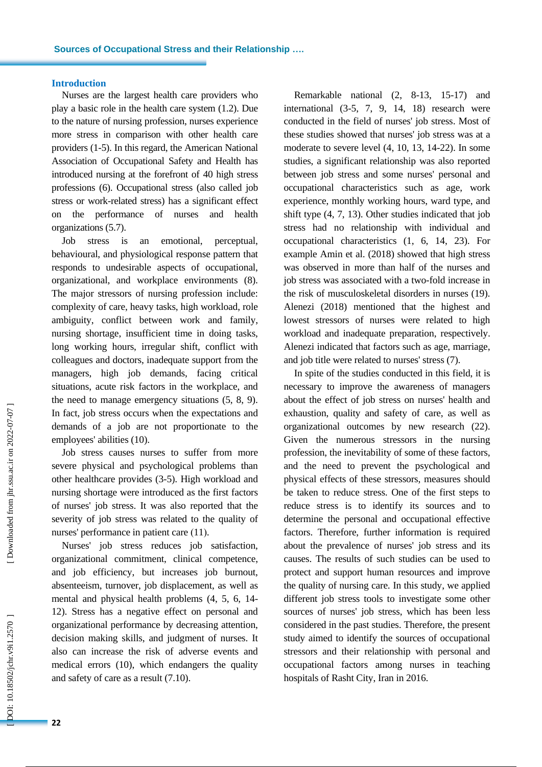#### **Introduction**

Nurses are the largest health care providers who play a basic role in the health care system (1.2). Due to the nature of nursing profession, nurses experience more stress in comparison with other health care providers (1 - 5 ). In this regard, the American National Association of Occupational Safety and Health has introduced nursing at the forefront of 40 high stress professions (6). Occupational stress (also called job stress or work -related stress ) has a significant effect on the performance of nurses and health organizations (5.7).

Job stress is an emotional, perceptual, behavioural , and physiological response pattern that responds to undesirable aspects of occupational, organizational, and workplace environments (8) . The major stressors of nursing profession include: complexity of care, heavy tasks, high workload, role ambiguity, conflict between work and family, nursing shortage, insufficient time in doing tasks, long working hours, irregular shift, conflict with colleagues and doctors, inadequate support from the managers, high job demands, facing critical situations, acute risk factors in the workplace, and the need to manage emergency situations (5, 8, 9). In fact, job stress occurs when the expectations and demands of a job are not proportionate to the employees' abilities (10).

Job stress causes nurses to suffer from more severe physical and psychological problems than other healthcare provides (3 -5). High workload and nursing shortage wer e introduced as the first factor s of nurses' job stress. It was also reported that the severity of job stress was related to the quality of nurses' performance in patient care (11).

Nurses' job stress reduces job satisfaction, organizational commitment, clinical competence, and job efficiency, but increases job burnout, absenteeism, [turnover,](http://jqr.kmu.ac.ir/article-1-229-en.pdf) job displacement, as well as mental and physical health problems (4, 5, 6, 14 - 12). Stress has a negative effect on personal and organizational performance by decreasing attention, decision making skills , and judgment of nurses. It also can increase the risk of adverse events and medical errors (10), which endangers the quality and safety of care as a result (7.10) .

Remarkable national  $(2, 8-13, 15-17)$  and international (3 -5, 7, 9 , 14, 18) research were conducted in the field of nurses' job stress. Most of these studies showed that nurses' job stress was at a moderate to severe level (4, 10, 13 , 14 -22). In some studies, a significant relationship was also reported between job stress and some nurses' personal and occupational characteristics such as age, work experience , monthly working hours, ward type , and shift type (4, 7, 13). Other studies indicate d that job stress had no relationship with individual and occupational characteristics (1, 6, 14, 23). For example Amin et al. (2018) showed that high stress was observed in more than half of the nurses and job stress was associated with a two -fold increase in the risk of musculoskeletal disorders in nurses (19). Alenezi (2018) mentioned that the highest and lowest stressors of nurses were related to high workload and inadequate preparation, respectively. Alenezi indicated that factors such as age, marriage, and job title were related to nurses' stress (7).

In spite of the studies conducted in this field, it is necessary to improve the awareness of managers about the effect of job stress on nurses' health and exhaustion, quality and safety of care, as well as organizational outcomes by new research (22). Given the numerous stressors in the nursing profession, the inevitability of some of these factors , and the need to prevent the psychological and physical effects of these stressors, measures should be taken to reduce stress. One of the first steps to reduce stress is to identify its sources and to determine the personal and occupational effective factors. Therefore, further information is required about the prevalence of nurses' job stress and its causes. The results of such studies can be used to protect and support human resources and improve the quality of nursing care. In this study, we applied different job stress tools to investigate some other sources of nurses' job stress , which has been less considered in the past studies . Therefore, the present study aimed to identify the sources of occupational stressors and their relationship with personal and occupational factors among nurses in teaching hospitals of Rasht City, Iran in 2016.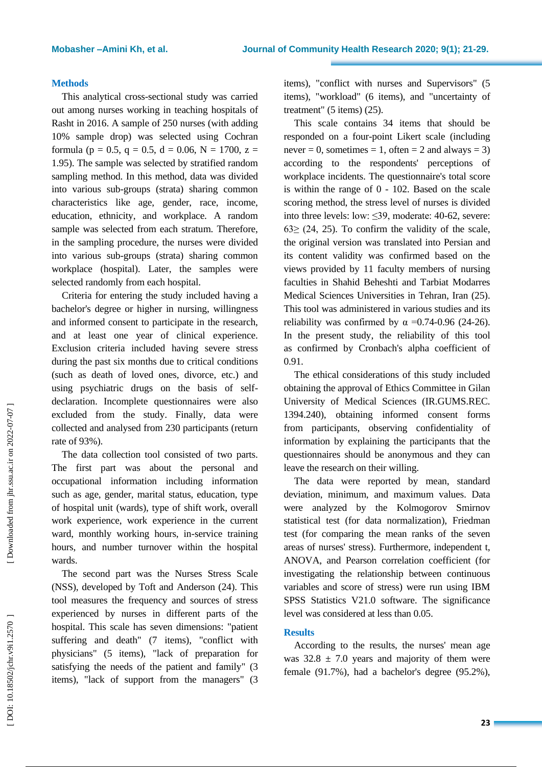#### **Methods**

This analytical cross -sectional study was carried out among nurses working in teaching hospitals of Rasht in 2016. A sample of 250 nurses (with adding 10% sample drop) was selected using Cochran formula ( $p = 0.5$ ,  $q = 0.5$ ,  $d = 0.06$ ,  $N = 1700$ ,  $z =$ 1 .95). The sample was selected by stratified random sampling method . In this method, data was divided into various sub -groups (strata) sharing common characteristics like age, gender, race, income, education, ethnicity , and workplace. A random sample was selected from each stratum. Therefore , in the sampling procedure, the nurses were divided into various sub -groups (strata) sharing common workplace (hospital). Later, the samples were selected randomly from each hospital.

Criteria for entering the study include d having a bachelor's degree or higher in nursing, willingness and informed consent to participate in the research, and at least one year of clinical experience. Exclusion criteria include d having severe stress during the past six months due to critical condition s (such as death of loved ones, divorce, etc. ) and using psychiatric drugs on the basis of selfdeclaration. Incomplete questionnaires were also excluded from the study. Finally, data were collected and analysed from 230 participants (return rate of 93%).

The data collection tool consisted of two parts. The first part was about the personal and occupational information including information such as age, gender, marital status, education, type of hospital unit (wards), type of shift work, overall work experience, work experience in the current ward, monthly working hours, in -service training hours, and number turnover within the hospital wards.

The second part was the Nurses Stress Scale (NSS), developed by T oft and Anderson (24). This tool measures the frequency and sources of stress experienced by nurses in different parts of the hospital. This scale has seven dimensions: "patient suffering and death" (7 items), "conflict with physicians " (5 items), "lack of preparation for satisfying the needs of the patient and family" (3 items), "lack of support from the managers" (3 items), "conflict with nurses and Supervisors " (5 items), "workload " (6 items), and "uncertainty of treatment" (5 items) (25).

This scale contains 34 items that should be responded on a four - point Likert scale (including never = 0, sometimes = 1, often = 2 and always = 3) according to the respondents' perceptions of workplace incidents. The questionnaire's total score is within the range of 0 - 102. Based on the scale scoring method, the stress level of nurses is divided into three levels: low: ≤39, moderate: 40 -62, severe:  $63$  (24, 25). To confirm the validity of the scale, the original version was translated into Persian and its content validity was confirmed based on the views provided by 11 faculty members of nursing faculties in Shahid Beheshti and Tarbiat Modarres Medical Sciences Universities in Tehran, Iran (25). This tool was administered in various studies and its reliability was confirmed by  $\alpha = 0.74 - 0.96$  (24-26). In the present study, the reliability of this tool as confirmed by Cronbach's alpha coefficient of 0.91.

The ethical considerations of this study included obtaining the approval of Ethics Committee in Gilan University of Medical Sciences (IR.GUMS.REC. 1394.240), obtaining informed consent forms from participants, observing confidentiality of information by explaining the participants that the questionnaires should be anonymous and they can leave the research on their willing .

The data were reported by mean, standard deviation, minimum , and maximum values. Data were analyzed by the Kolmogorov Smirnov statistical test (for data normalization), Friedman test (for comparing the mean ranks of the seven areas of nurses' stress). Furthermore, independent t, ANOVA, and Pearson correlation coefficient (for investigating the relationship between continuous variables and score of stress) were run using IBM SPSS Statistics V21.0 software. The significance level was considered at less than 0.05 .

## **Results**

According to the results, the nurses' mean age was  $32.8 \pm 7.0$  years and majority of them were female (91.7%), had a bachelor's degree (95.2%) ,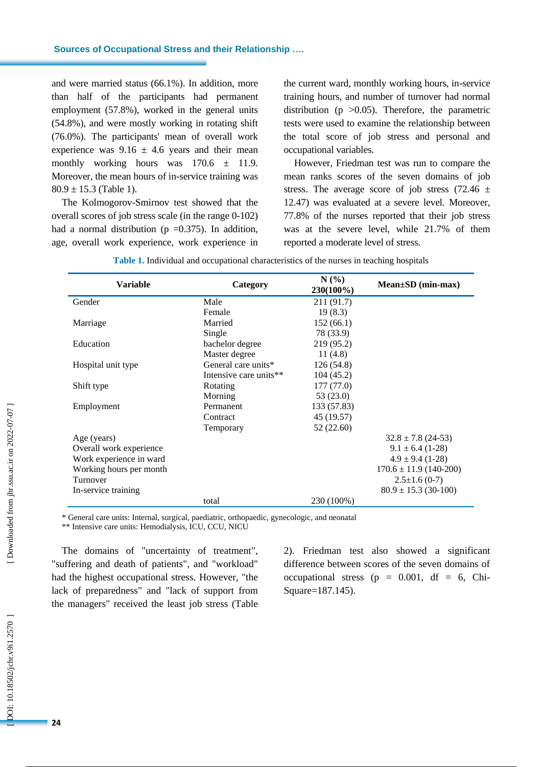and were married status (66.1%). In addition, more than half of the participants had permanent employment (57.8%), worked in the general units (54.8%), and were mostly working in rotating shift (76.0%). The participants' mean of overall work experience was  $9.16 \pm 4.6$  years and their mean monthly working hours was  $170.6 \pm 11.9$ . Moreover , the mean hours of in -service training was  $80.9 \pm 15.3$  (Table 1).

The Kolmogorov -Smirnov test showed that the overall scores of job stress scale (in the range 0 -102) had a normal distribution ( $p = 0.375$ ). In addition, age, overall work experience, work experience in

the current ward, monthly working hours, in -service training hours , and number of turnover had normal distribution ( $p > 0.05$ ). Therefore, the parametric tests were used to examine the relationship between the total score of job stress and personal and occupational variables.

However, Friedman test was run to compare the mean ranks scores of the seven domains of job stress. The average score of job stress  $(72.46 \pm$ 12.47 ) was evaluated at a severe level. Moreover, 77.8% of the nurses reported that their job stress was at the severe level, while 21.7% of them reported a moderate level of stress.

| <b>Variable</b>         | Category               | N(%<br>230(100%) | $Mean \pm SD$ (min-max)    |  |
|-------------------------|------------------------|------------------|----------------------------|--|
| Gender                  | Male                   | 211 (91.7)       |                            |  |
|                         | Female                 | 19(8.3)          |                            |  |
| Marriage                | Married                | 152(66.1)        |                            |  |
|                         | Single                 | 78 (33.9)        |                            |  |
| Education               | bachelor degree        | 219 (95.2)       |                            |  |
|                         | Master degree          | 11(4.8)          |                            |  |
| Hospital unit type      | General care units*    | 126(54.8)        |                            |  |
|                         | Intensive care units** | 104 (45.2)       |                            |  |
| Shift type              | Rotating               | 177 (77.0)       |                            |  |
|                         | Morning                | 53(23.0)         |                            |  |
| Employment              | Permanent              | 133 (57.83)      |                            |  |
|                         | Contract               | 45 (19.57)       |                            |  |
|                         | Temporary              | 52(22.60)        |                            |  |
| Age (years)             |                        |                  | $32.8 \pm 7.8$ (24-53)     |  |
| Overall work experience |                        |                  | $9.1 \pm 6.4$ (1-28)       |  |
| Work experience in ward |                        |                  | $4.9 \pm 9.4$ (1-28)       |  |
| Working hours per month |                        |                  | $170.6 \pm 11.9$ (140-200) |  |
| Turnover                |                        |                  | $2.5 \pm 1.6$ (0-7)        |  |
| In-service training     |                        |                  | $80.9 \pm 15.3$ (30-100)   |  |
|                         | total                  | 230 (100%)       |                            |  |

| Table 1. Individual and occupational characteristics of the nurses in teaching hospitals |
|------------------------------------------------------------------------------------------|
|------------------------------------------------------------------------------------------|

\* General care units: Internal, surgical, paediatric, orthopaedic, gynecologic, and neonatal

\*\* Intensive care units: Hemodialysis, ICU, CCU, NICU

The domains of "uncertainty of treatment ", "suffering and death of patients", and "workload" had the highest occupational stress. However, "the lack of preparedness " and "lack of support from the managers" received the least job stress (Table

2). Friedman test also showed a significant difference between scores of the seven domains of occupational stress ( $p = 0.001$ , df = 6, Chi-Square=187 .145 ) .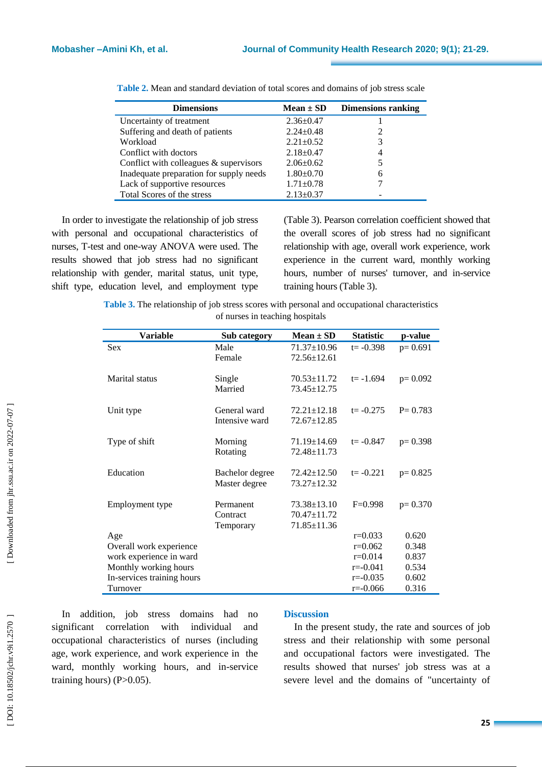| <b>Dimensions</b>                        | $Mean \pm SD$   | <b>Dimensions ranking</b> |
|------------------------------------------|-----------------|---------------------------|
| Uncertainty of treatment                 | $2.36 \pm 0.47$ |                           |
| Suffering and death of patients          | $2.24 \pm 0.48$ |                           |
| Workload                                 | $2.21 \pm 0.52$ | 3                         |
| Conflict with doctors                    | $2.18 \pm 0.47$ | 4                         |
| Conflict with colleagues $&$ supervisors | $2.06 \pm 0.62$ |                           |
| Inadequate preparation for supply needs  | $1.80 \pm 0.70$ | 6                         |
| Lack of supportive resources             | $1.71 \pm 0.78$ |                           |
| Total Scores of the stress               | $2.13 \pm 0.37$ |                           |

| Table 2. Mean and standard deviation of total scores and domains of job stress scale |  |
|--------------------------------------------------------------------------------------|--|
|--------------------------------------------------------------------------------------|--|

In order to investigate the relationship of job stress with personal and occupational characteristics of nurses, T -test and one -way ANOVA were used. The results showed that job stress had no significant relationship with gender, marital status, unit type, shift type, education level , and employment type

(Table 3). Pearson correlation coefficient showed that the overall scores of job stress had no significant relationship with age, overall work experience, work experience in the current ward, monthly working hours, number of nurses' turnover, and in-service training hours (Table 3).

**Table 3 .** The relationship of job stress scores with personal and occupational characteristics of nurses in teaching hospitals

| <b>Variable</b>            | Sub category                     | Mean $\pm$ SD                    | <b>Statistic</b> | p-value     |
|----------------------------|----------------------------------|----------------------------------|------------------|-------------|
| <b>Sex</b>                 | Male                             | $71.37 \pm 10.96$                | $t = -0.398$     | $p=0.691$   |
|                            | Female                           | $72.56 \pm 12.61$                |                  |             |
| Marital status             | Single                           | $70.53 \pm 11.72$                | $t = -1.694$     | $p=0.092$   |
|                            | Married                          | 73.45±12.75                      |                  |             |
| Unit type                  | General ward                     | $72.21 \pm 12.18$                | $t = -0.275$     | $P = 0.783$ |
|                            | Intensive ward                   | $72.67 \pm 12.85$                |                  |             |
| Type of shift              | Morning                          | $71.19 \pm 14.69$                | $t = -0.847$     | $p=0.398$   |
|                            | Rotating                         | 72.48±11.73                      |                  |             |
|                            |                                  |                                  |                  |             |
| Education                  | Bachelor degree<br>Master degree | $72.42 \pm 12.50$<br>73.27±12.32 | $t = -0.221$     | $p=0.825$   |
|                            |                                  |                                  |                  |             |
| Employment type            | Permanent                        | $73.38 \pm 13.10$                | $F=0.998$        | $p=0.370$   |
|                            | Contract                         | 70.47±11.72                      |                  |             |
|                            | Temporary                        | 71.85±11.36                      |                  |             |
| Age                        |                                  |                                  | $r=0.033$        | 0.620       |
| Overall work experience    |                                  |                                  | $r=0.062$        | 0.348       |
| work experience in ward    |                                  |                                  | $r = 0.014$      | 0.837       |
| Monthly working hours      |                                  |                                  | $r = -0.041$     | 0.534       |
| In-services training hours |                                  |                                  | $r = -0.035$     | 0.602       |
| Turnover                   |                                  |                                  | $r = -0.066$     | 0.316       |

In addition, job stress domains had no significant correlation with individual and occupational characteristics of nurses (including age, work experience , and work experience in the ward, monthly working hours , and in -service training hours) (P>0.05).

#### **Discussion**

In the present study, the rate and sources of job stress and their relationship with some personal and occupational factors were investigated. The results showed that nurses' job stress was at a sever e level and the domains of "uncertainty of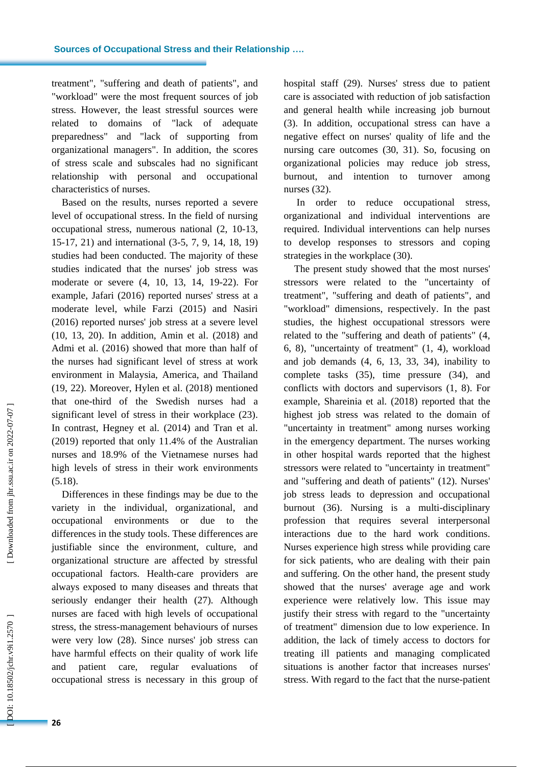treatment", "suffering and death of patients" , and "workload" were the most frequent source s of job stress. However, the least stressful sources were related to domains of "lack of adequate preparedness" and "lack of supporting from organizational managers". In addition, the scores of stress scale and subscales had no significant relationship with personal and occupational characteristics of nurses.

Based on the results, nurses reported a severe level of occupational stress. In the field of nursing occupational stress, numerous national (2, 10 - 13, 15 -17, 21) and international (3 -5, 7, 9, 14, 18, 19) studies had been conducted . The majority of these studies indicated that the nurses' job stress was moderate or severe (4, 10, 13, 14, 19 -22). For example, Jafari (2016) reported nurses' stress at a moderate level, while Farzi (2015) and Nasiri (2016) reported nurses' job stress at a severe level (10, 13, 20) . In addition , Amin et al. (2018) and Admi et al. (2016) showed that more than half of the nurses had significant level of stress at work environment in Malaysia, America , and Thailand (19, 22). Moreover, Hylen et al. (2018) mentioned that one -third of the Swedish nurses had a significant level of stress in their workplace (23). In contrast , Hegney et al. (2014) and Tran et al. (2019) reported that only 11.4% of the Australian nurses and 18.9% of the Vietnamese nurses had high levels of stress in their work environments (5.18).

Differences in these findings may be due to the variety in the individual, organizational , and occupational environments or due to the differences in the study tools. These differences are justifiable since the environment, culture, and organizational structure are affected by stressful occupational factors. Health -care providers are always expose d to many diseases and threats that seriously endanger their health (27). Although nurses are faced with high levels of occupational stress, the stress -management behaviours of nurses were very low (28). Since nurses' job stress can have harmful effects on their quality of work life and patient care, regular evaluation of occupational stress is necessary in this group of

hospital staff (2 9). Nurses' stress due to patient care is associated with reduction of job satisfaction and general health while increasing job burnout (3). In addition, occupational stress can have a negative effect on nurses' quality of life and the nursing care outcomes (30, 31). So, focusing on organizational policies may reduce job stress, burnout , and intention to turnover among nurses (3 2).

In order to reduc e occupational stress, organizational and individual interventions are required. Individual interventions can help nurses to develop responses to stressors and coping strategies in the workplace (30).

The present study showed that the most nurses' stressors were related to the "uncertainty of treatment", "suffering and death of patients" , and "workload" dimensions, respectively. In the past studies, the highest occupational stressors were related to the "suffering and death of patients" (4 , 6, 8), "uncertainty of treatment" (1 , 4), workload and job demands (4 , 6, 13 , 33, 34), inability to complete tasks (3 5), time pressure (34), and conflicts with doctors and supervisors (1, 8). For example , Shareinia et al. (2018) reported that the highest job stress was related to the domain of "uncertainty in treatment" among nurses working in the emergency department. The nurses working in other hospital wards reported that the highest stressors were related to "uncertainty in treatment" and "suffering and death of patients" (12). Nurses' job stress leads to depression and occupational burnout (36). Nursing is a multi -disciplinary profession that requires several interpersonal interactions due to the hard work conditions. Nurses experience high stress while providing care for sick patients, who are dealing with their pain and suffering. On the other hand, the present study showed that the nurses' average age and work experience were relatively low. This issue may justify their stress with regard to the "uncertainty of treatment" dimension due to low experience. In addition, the lack of timely access to doctors for treating ill patients and managing complicated situations is another factor that increases nurses' stress. With regard to the fact that the nurse -patient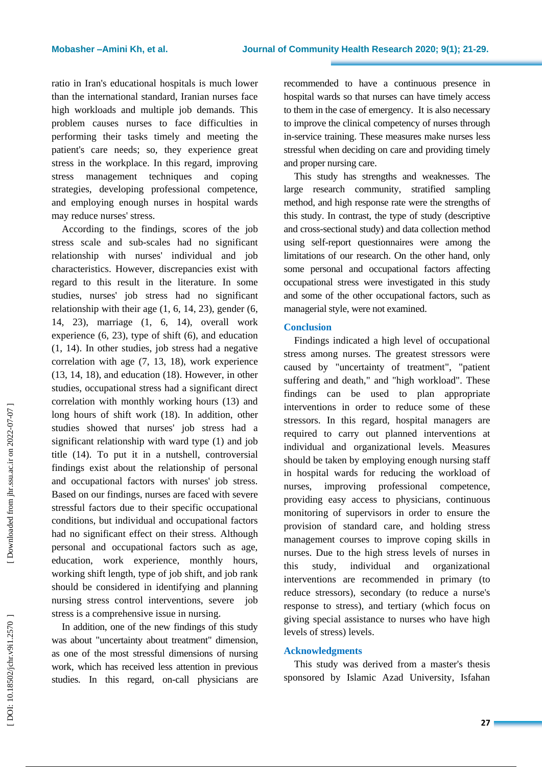ratio in Iran's educational hospitals is much lower than the international standard, Iranian nurses face high workloads and multiple job demands. This problem causes nurses to face difficulties in performing their tasks timely and meeting the patient's care needs; so, they experience great stress in the workplace . In this regard, improving stress management techniques and coping strategies, developing professional competence, and employing enough nurses in hospital wards may reduce nurses' stress.

According to the findings, scores of the job stress scale and sub -scales had no significant relationship with nurses' individual and job characteristics. However, discrepancies exist with regard to this result in the literature. In some studies, nurses' job stress had no significant relationship with their age  $(1, 6, 14, 23)$ , gender  $(6, 14, 23)$ 14 , 23), marriage (1 , 6, 14), overall work experience  $(6, 23)$ , type of shift  $(6)$ , and education (1 , 14). In other studies, job stress ha d a negative correlation with age (7, 13, 18), work experience (13, 14, 18), and education (18). However, in other studies, occupational stress had a significant direct correlation with monthly working hours (13) and long hours of shift work (18). In addition, other studies showed that nurses' job stress had a significant relationship with ward type (1) and job title (14). To put it in a nutshell, controversial findings exist about the relationship of personal and occupational factors with nurses' job stress. Based on our findings, nurses are faced with severe stressful factors due to their specific occupational conditions, but individual and occupational factors had no significant effect on their stress. Although personal and occupational factors such as age, education, work experience, monthly hours, working shift length, type of job shift , and job rank should be considered in identifying and planning nursing stress control interventions, severe job stress is a comprehensive issue in nursing.

In addition, one of the new findings of this study was about "uncertainty about treatment" dimension, as one of the most stressful dimensions of nursing work, which has received less attention in previous studies. In this regard, on -call physicians are recommended to have a continuous presence in hospital wards so that nurses can have timely access to them in the case of emergency. It is also necessary to improve the clinical competency of nurses through in -service training. These measures make nurses less stressful when deciding on care and providing timely and proper nursing care.

This study has strengths and weaknesses. The large research community, stratified sampling method , and high response rate were the strengths of this study. In contrast, the type of study (descriptive and cross -sectional study) and data collection method using self-report questionnaire s were among the limitations of our research. On the other hand, only some personal and occupational factors affecting occupational stress were investigated in this study and some of the other occupational factors, such as managerial style, were not examined .

### **Conclusion**

Findings indicated a high level of occupational stress among nurses. The greatest stressors were caused by "uncertainty of treatment", "patient suffering and death," and "high workload". These findings can be used to plan appropriate interventions in order to reduce some of these stressors. In this regard, hospital managers are required to carry out planned interventions at individual and organizational levels. Measures should be taken by employing enough nursing staff in hospital wards for reducing the workload of nurses, improving professional competence, providing easy access to physicians , continuous monitoring of supervisors in order to ensure the provision of standard care, and holding stress management courses to improve coping skills in nurses. Due to the high stress levels of nurses in this study, individual and organizational interventions are recommended in primary (to reduce stressors), secondary (to reduce a nurse's response to stress) , and tertiary (which focus on giving special assistance to nurses who have high levels of stress) levels .

## **Acknowledgments**

This study was derived from a master's thesis sponsored by Islamic Azad University, Isfahan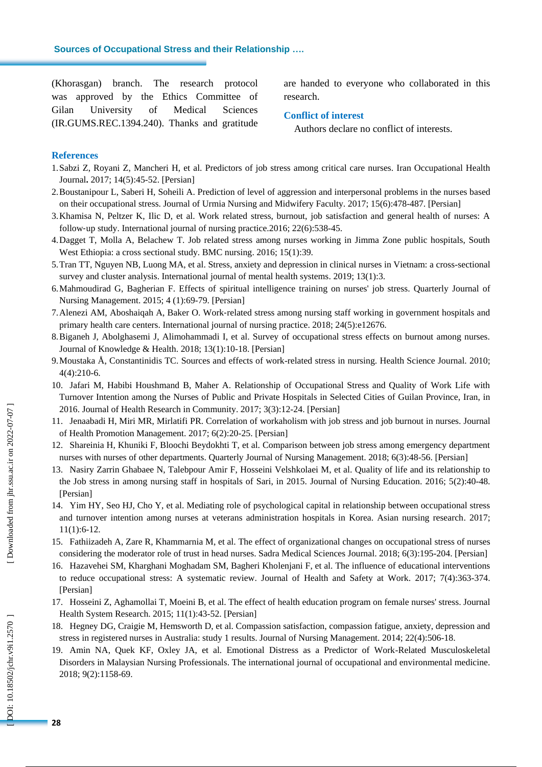(Khorasgan) branch. The research protocol was approved by the Ethics Committee of Gilan University of Medical Sciences (IR.GUMS.REC.1394.240). Thanks and gratitude are handed to everyone who collaborated in this research.

#### **Conflict of interest**

Authors declare no conflict of interests.

### **References**

- 1.Sabzi Z, Royani Z, Mancheri H, et al. Predictors of job stress among critical care nurses. Iran Occupational Health Journal **.** 2017; 14(5):45 -52. [Persian]
- 2 .Boustanipour L, Saberi H, Soheili A. Prediction of level of aggression and interpersonal problems in the nurses based on their occupational stress. Journal of Urmia Nursing and Midwifery Faculty . 2017; 15(6):478 -487. [Persian]
- 3 .Khamisa N, Peltzer K, Ilic D, et al. Work related stress, burnout, job satisfaction and general health of nurses: A follow ‐up study. International journal of nursing practice .2016; 22(6):538 -45.
- 4 .Dagget T, Molla A, Belachew T. Job related stress among nurses working in Jimma Zone public hospitals, South West Ethiopia: a cross sectional study. BMC nursing . 2016; 15(1):39.
- 5 .Tran TT, Nguyen NB, Luong MA, et al. Stress, anxiety and depression in clinical nurses in Vietnam: a cross -sectional survey and cluster analysis. International journal of mental health systems . 2019; 13(1):3.
- 6 .Mahmoudirad G, Bagherian F. Effects of spiritual intelligence training on nurses' job stress. Quarterly Journal of Nursing Management . 2015; 4 (1):69 -79. [Persian]
- 7 .Alenezi AM, Aboshaiqah A, Baker O. Work ‐related stress among nursing staff working in government hospitals and primary health care centers. International journal of nursing practice . 2018; 24(5):e12676.
- 8 .Biganeh J, Abolghasemi J, Alimohammadi I, et al. Survey of occupational stress effects on burnout among nurses. Journal of Knowledge & Health . 2018; 13(1):10 -18. [Persian]
- 9 .Moustaka Å, Constantinidis TC. Sources and effects of work -related stress in nursing. Health Science Journal . 2010; 4(4):210 -6.
- 10 . Jafari M, Habibi Houshmand B, Maher A. Relationship of Occupational Stress and Quality of Work Life with Turnover Intention among the Nurses of Public and Private Hospitals in Selected Cities of Guilan Province, Iran, in 2016. Journal of Health Research in Community . 2017; 3(3):12 -24. [Persian]
- 11 . Jenaabadi H, Miri MR, Mirlatifi PR. Correlation of workaholism with job stress and job burnout in nurses. Journal of Health Promotion Management. 2017; 6(2):20-25. [Persian]
- 12 . Shareinia H, Khuniki F, Bloochi Beydokhti T, et al. Comparison between job stress among emergency department nurses with nurses of other departments. Quarterly Journal of Nursing Management. 2018; 6(3):48 -56. [Persian]
- 13 . Nasiry Zarrin Ghabaee N, Talebpour Amir F, Hosseini Velshkolaei M, et al. Quality of life and its relationship to the Job stress in among nursing staff in hospitals of Sari, in 2015. Journal of Nursing Education. 2016; 5(2):40 -48. [Persian]
- 14 . Yim HY, Seo HJ, Cho Y, et al. Mediating role of psychological capital in relationship between occupational stress and turnover intention among nurses at veterans administration hospitals in Korea. Asian nursing research . 2017; 11(1):6 -12.
- 15. Fathiizadeh A, Zare R, Khammarnia M, et al. The effect of organizational changes on occupational stress of nurses considering the moderator role of trust in head nurses. Sadra Medical Sciences Journal. 2018; 6(3):195-204. [Persian]
- 16 . Hazavehei SM, Kharghani Moghadam SM, Bagheri Kholenjani F, et al. The influence of educational interventions to reduce occupational stress: A systematic review. Journal of Health and Safety at Work. 2017; 7(4):363-374. [Persian]
- 17 . Hosseini Z, Aghamollai T, Moeini B, et al. The effect of health education program on female nurses' stress. Journal Health System Research . 2015; 11(1):43 -52. [Persian]
- 18 . Hegney DG, Craigie M, Hemsworth D, et al. Compassion satisfaction, compassion fatigue, anxiety, depression and stress in registered nurses in Australia: study 1 results. Journal of Nursing Management. 2014; 22(4):506 -18.
- 19 . Amin NA, Quek KF, Oxley JA, et al. Emotional Distress as a Predictor of Work -Related Musculoskeletal Disorders in Malaysian Nursing Professionals. The international journal of occupational and environmental medicine . 2018; 9(2):1158 -69.